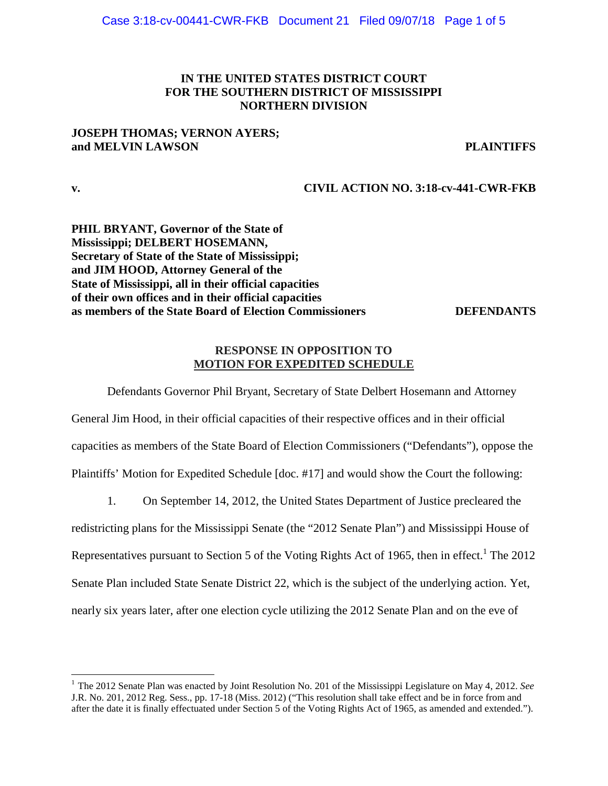## **IN THE UNITED STATES DISTRICT COURT FOR THE SOUTHERN DISTRICT OF MISSISSIPPI NORTHERN DIVISION**

## **JOSEPH THOMAS; VERNON AYERS; and MELVIN LAWSON PLAINTIFFS**

**v. CIVIL ACTION NO. 3:18-cv-441-CWR-FKB** 

**PHIL BRYANT, Governor of the State of Mississippi; DELBERT HOSEMANN, Secretary of State of the State of Mississippi; and JIM HOOD, Attorney General of the State of Mississippi, all in their official capacities of their own offices and in their official capacities as members of the State Board of Election Commissioners DEFENDANTS** 

## **RESPONSE IN OPPOSITION TO MOTION FOR EXPEDITED SCHEDULE**

Defendants Governor Phil Bryant, Secretary of State Delbert Hosemann and Attorney General Jim Hood, in their official capacities of their respective offices and in their official capacities as members of the State Board of Election Commissioners ("Defendants"), oppose the Plaintiffs' Motion for Expedited Schedule [doc. #17] and would show the Court the following:

1. On September 14, 2012, the United States Department of Justice precleared the

redistricting plans for the Mississippi Senate (the "2012 Senate Plan") and Mississippi House of Representatives pursuant to Section 5 of the Voting Rights Act of 1965, then in effect.<sup>1</sup> The 2012 Senate Plan included State Senate District 22, which is the subject of the underlying action. Yet, nearly six years later, after one election cycle utilizing the 2012 Senate Plan and on the eve of

<sup>1</sup> The 2012 Senate Plan was enacted by Joint Resolution No. 201 of the Mississippi Legislature on May 4, 2012. *See* J.R. No. 201, 2012 Reg. Sess., pp. 17-18 (Miss. 2012) ("This resolution shall take effect and be in force from and after the date it is finally effectuated under Section 5 of the Voting Rights Act of 1965, as amended and extended.").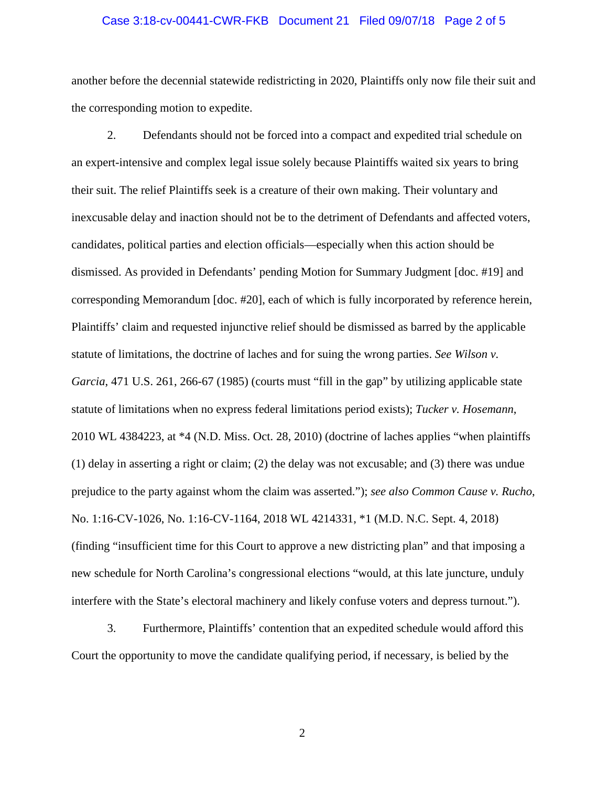# Case 3:18-cv-00441-CWR-FKB Document 21 Filed 09/07/18 Page 2 of 5

another before the decennial statewide redistricting in 2020, Plaintiffs only now file their suit and the corresponding motion to expedite.

2. Defendants should not be forced into a compact and expedited trial schedule on an expert-intensive and complex legal issue solely because Plaintiffs waited six years to bring their suit. The relief Plaintiffs seek is a creature of their own making. Their voluntary and inexcusable delay and inaction should not be to the detriment of Defendants and affected voters, candidates, political parties and election officials—especially when this action should be dismissed. As provided in Defendants' pending Motion for Summary Judgment [doc. #19] and corresponding Memorandum [doc. #20], each of which is fully incorporated by reference herein, Plaintiffs' claim and requested injunctive relief should be dismissed as barred by the applicable statute of limitations, the doctrine of laches and for suing the wrong parties. *See Wilson v. Garcia*, 471 U.S. 261, 266-67 (1985) (courts must "fill in the gap" by utilizing applicable state statute of limitations when no express federal limitations period exists); *Tucker v. Hosemann*, 2010 WL 4384223, at \*4 (N.D. Miss. Oct. 28, 2010) (doctrine of laches applies "when plaintiffs (1) delay in asserting a right or claim; (2) the delay was not excusable; and (3) there was undue prejudice to the party against whom the claim was asserted."); *see also Common Cause v. Rucho*, No. 1:16-CV-1026, No. 1:16-CV-1164, 2018 WL 4214331, \*1 (M.D. N.C. Sept. 4, 2018) (finding "insufficient time for this Court to approve a new districting plan" and that imposing a new schedule for North Carolina's congressional elections "would, at this late juncture, unduly interfere with the State's electoral machinery and likely confuse voters and depress turnout.").

3. Furthermore, Plaintiffs' contention that an expedited schedule would afford this Court the opportunity to move the candidate qualifying period, if necessary, is belied by the

2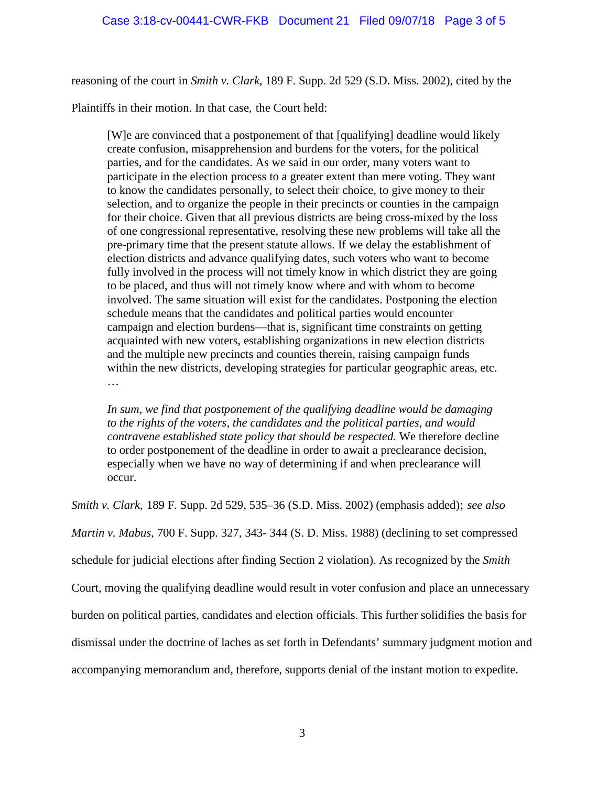reasoning of the court in *Smith v. Clark*, 189 F. Supp. 2d 529 (S.D. Miss. 2002), cited by the

Plaintiffs in their motion. In that case, the Court held:

[W]e are convinced that a postponement of that [qualifying] deadline would likely create confusion, misapprehension and burdens for the voters, for the political parties, and for the candidates. As we said in our order, many voters want to participate in the election process to a greater extent than mere voting. They want to know the candidates personally, to select their choice, to give money to their selection, and to organize the people in their precincts or counties in the campaign for their choice. Given that all previous districts are being cross-mixed by the loss of one congressional representative, resolving these new problems will take all the pre-primary time that the present statute allows. If we delay the establishment of election districts and advance qualifying dates, such voters who want to become fully involved in the process will not timely know in which district they are going to be placed, and thus will not timely know where and with whom to become involved. The same situation will exist for the candidates. Postponing the election schedule means that the candidates and political parties would encounter campaign and election burdens—that is, significant time constraints on getting acquainted with new voters, establishing organizations in new election districts and the multiple new precincts and counties therein, raising campaign funds within the new districts, developing strategies for particular geographic areas, etc. …

*In sum, we find that postponement of the qualifying deadline would be damaging to the rights of the voters, the candidates and the political parties, and would contravene established state policy that should be respected.* We therefore decline to order postponement of the deadline in order to await a preclearance decision, especially when we have no way of determining if and when preclearance will occur.

*Smith v. Clark*, 189 F. Supp. 2d 529, 535–36 (S.D. Miss. 2002) (emphasis added); *see also Martin v. Mabus*, 700 F. Supp. 327, 343- 344 (S. D. Miss. 1988) (declining to set compressed schedule for judicial elections after finding Section 2 violation). As recognized by the *Smith* Court, moving the qualifying deadline would result in voter confusion and place an unnecessary burden on political parties, candidates and election officials. This further solidifies the basis for dismissal under the doctrine of laches as set forth in Defendants' summary judgment motion and accompanying memorandum and, therefore, supports denial of the instant motion to expedite.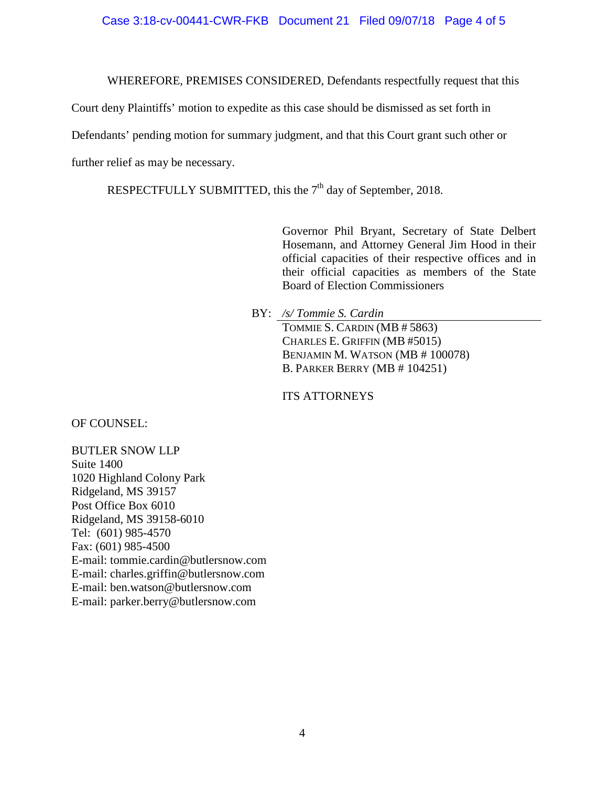#### Case 3:18-cv-00441-CWR-FKB Document 21 Filed 09/07/18 Page 4 of 5

WHEREFORE, PREMISES CONSIDERED, Defendants respectfully request that this

Court deny Plaintiffs' motion to expedite as this case should be dismissed as set forth in

Defendants' pending motion for summary judgment, and that this Court grant such other or

further relief as may be necessary.

RESPECTFULLY SUBMITTED, this the 7<sup>th</sup> day of September, 2018.

Governor Phil Bryant, Secretary of State Delbert Hosemann, and Attorney General Jim Hood in their official capacities of their respective offices and in their official capacities as members of the State Board of Election Commissioners

BY: */s/ Tommie S. Cardin* 

TOMMIE S. CARDIN (MB # 5863) CHARLES E. GRIFFIN (MB #5015) BENJAMIN M. WATSON (MB # 100078) B. PARKER BERRY (MB # 104251)

ITS ATTORNEYS

OF COUNSEL:

BUTLER SNOW LLP Suite 1400 1020 Highland Colony Park Ridgeland, MS 39157 Post Office Box 6010 Ridgeland, MS 39158-6010 Tel: (601) 985-4570 Fax: (601) 985-4500 E-mail: tommie.cardin@butlersnow.com E-mail: charles.griffin@butlersnow.com E-mail: ben.watson@butlersnow.com E-mail: parker.berry@butlersnow.com